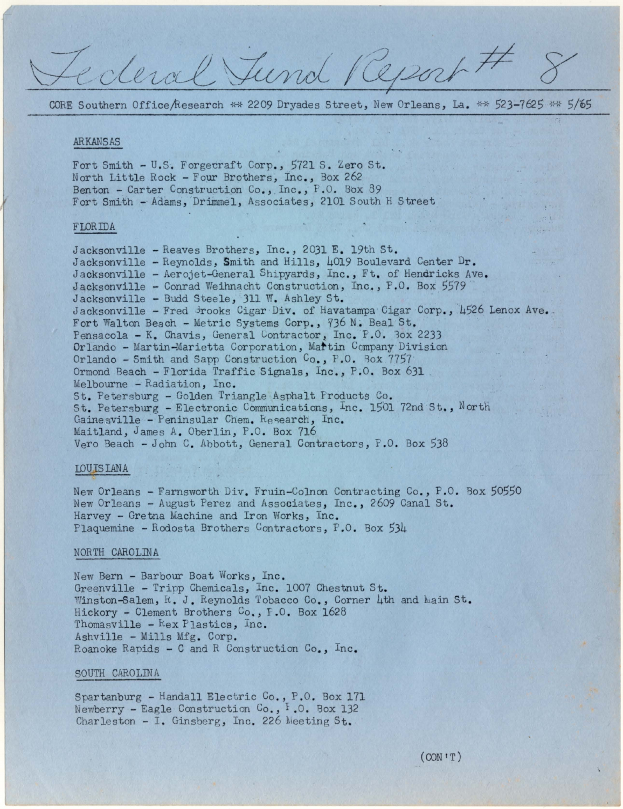CORE Southern Office/Research \*\* 2209 Dryades Street, New Orleans, La. \*\* 523-7625 \*\* 5/65

ecleval Tund Report

### ARKANSAS

Fort Smith - U.S. Forgecraft Corp., 5721 S. Zero St. North Little Rock - Four Brothers, Inc., Box 262 Benton - Carter Construction Co., Inc., P.O. Box 89 Fort Smith - Adams, Drimmel, Associates, 2101 South H Street

## **FLORIDA**

Jacksonville - Reaves Brothers, Inc., 2031 E. 19th St. Jacksonville - Reynolds, Smith and Hills, 4019 Boulevard Center Dr. Jacksonville - Aerojet-General Shipyards, Inc., Ft. of Hendricks Ave. Jacksonville - Conrad Weihnacht Construction, Inc., P.O. Box 5579 Jacksonville - Budd Steele, 311 W. Ashley St. Jacksonville - Fred Brooks Cigar Div. of Havatampa Cigar Corp., 4526 Lenox Ave. Fort Walton Beach - Metric Systems Corp., 736 N. Beal St. Pensacola - K. Chavis, General Contractor, Inc. P.O. 3ox 2233 Orlando - Martin-Marietta Corporation, Martin Company Division Orlando - Smith and Sapp Construction  $C_0$ , P.O. Box 7757 Ormond Beach - Florida Traffic Signals, Inc., P.O. Box 631 Melbourne - Radiation, Inc. St. Petersburg - Golden Triangle Asphalt Products Co. St. Petersburg - Electronic Communications, Inc. 1501 72nd St., North Gainesville - Peninsular Chem. Research, Inc. Maitland, James A. Oberlin, P.O. Box 716 Vero Beach - John C. Abbott, General Contractors, F.O. Box 538

#### LOUISIANA

New Orleans - Farnsworth Div. Fruin-Colnon Contracting Co., P.O. Box 50550 New Orleans - August Perez and Associates, Inc., 2609 Canal St. Harvey - Gretna Machine and Iron Works, Inc. Plaquemine - Rodosta Brothers Contractors, P.O. Box 534

# NORTH CAROLINA

New Bern - Barbour Boat Works, Inc. Greenville - Tripp Chemicals, Inc. 1007 Chestnut St. Winston-Salem, R. J. Reynolds Tobacco Co., Corner 4th and Main St. Hickory - Clement Brothers Co., F.O. Box 1628 Thomasville - Kex Plastics, Inc. Ashville - Mills Mfg. Corp. Roanoke Rapids - C and R Construction Co., Inc.

#### SOUTH CAROLINA

Spartanburg - Handall Electric Co., P.O. Box 171 Newberry - Eagle Construction Co., F.O. Box 132 Charleston - I. Ginsberg, Inc. 226 Meeting St.